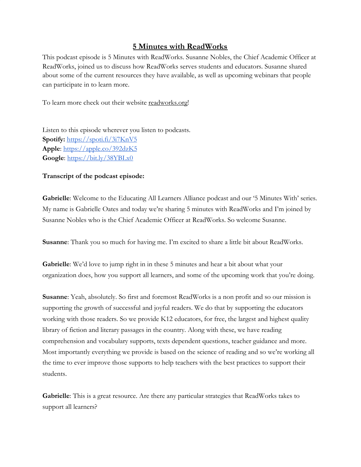## **5 Minutes with ReadWorks**

This podcast episode is 5 Minutes with ReadWorks. Susanne Nobles, the Chief Academic Officer at ReadWorks, joined us to discuss how ReadWorks serves students and educators. Susanne shared about some of the current resources they have available, as well as upcoming webinars that people can participate in to learn more.

To learn more check out [their website readworks.org](http://readworks.org/)!

Listen to this episode wherever you listen to podcasts. **Spotify:** <https://spoti.fi/3i7KnV5> **Apple**:<https://apple.co/392dzK5> **Google**:<https://bit.ly/38YBLx0>

## **Transcript of the podcast episode:**

**Gabrielle**: Welcome to the Educating All Learners Alliance podcast and our '5 Minutes With' series. My name is Gabrielle Oates and today we're sharing 5 minutes with ReadWorks and I'm joined by Susanne Nobles who is the Chief Academic Officer at ReadWorks. So welcome Susanne.

**Susanne**: Thank you so much for having me. I'm excited to share a little bit about ReadWorks.

**Gabrielle**: We'd love to jump right in in these 5 minutes and hear a bit about what your organization does, how you support all learners, and some of the upcoming work that you're doing.

**Susanne**: Yeah, absolutely. So first and foremost ReadWorks is a non profit and so our mission is supporting the growth of successful and joyful readers. We do that by supporting the educators working with those readers. So we provide K12 educators, for free, the largest and highest quality library of fiction and literary passages in the country. Along with these, we have reading comprehension and vocabulary supports, texts dependent questions, teacher guidance and more. Most importantly everything we provide is based on the science of reading and so we're working all the time to ever improve those supports to help teachers with the best practices to support their students.

**Gabrielle**: This is a great resource. Are there any particular strategies that ReadWorks takes to support all learners?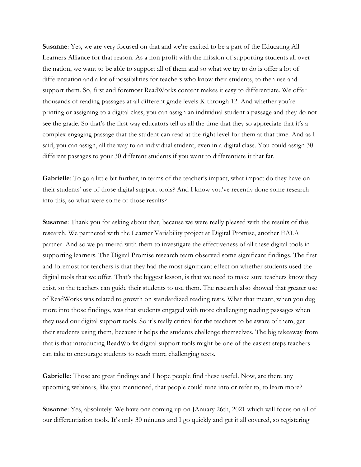**Susanne:** Yes, we are very focused on that and we're excited to be a part of the Educating All Learners Alliance for that reason. As a non profit with the mission of supporting students all over the nation, we want to be able to support all of them and so what we try to do is offer a lot of differentiation and a lot of possibilities for teachers who know their students, to then use and support them. So, first and foremost ReadWorks content makes it easy to differentiate. We offer thousands of reading passages at all different grade levels K through 12. And whether you're printing or assigning to a digital class, you can assign an individual student a passage and they do not see the grade. So that's the first way educators tell us all the time that they so appreciate that it's a complex engaging passage that the student can read at the right level for them at that time. And as I said, you can assign, all the way to an individual student, even in a digital class. You could assign 30 different passages to your 30 different students if you want to differentiate it that far.

Gabrielle: To go a little bit further, in terms of the teacher's impact, what impact do they have on their students' use of those digital support tools? And I know you've recently done some research into this, so what were some of those results?

**Susanne**: Thank you for asking about that, because we were really pleased with the results of this research. We partnered with the Learner Variability project at Digital Promise, another EALA partner. And so we partnered with them to investigate the effectiveness of all these digital tools in supporting learners. The Digital Promise research team observed some significant findings. The first and foremost for teachers is that they had the most significant effect on whether students used the digital tools that we offer. That's the biggest lesson, is that we need to make sure teachers know they exist, so the teachers can guide their students to use them. The research also showed that greater use of ReadWorks was related to growth on standardized reading tests. What that meant, when you dug more into those findings, was that students engaged with more challenging reading passages when they used our digital support tools. So it's really critical for the teachers to be aware of them, get their students using them, because it helps the students challenge themselves. The big takeaway from that is that introducing ReadWorks digital support tools might be one of the easiest steps teachers can take to encourage students to reach more challenging texts.

Gabrielle: Those are great findings and I hope people find these useful. Now, are there any upcoming webinars, like you mentioned, that people could tune into or refer to, to learn more?

**Susanne**: Yes, absolutely. We have one coming up on JAnuary 26th, 2021 which will focus on all of our differentiation tools. It's only 30 minutes and I go quickly and get it all covered, so registering